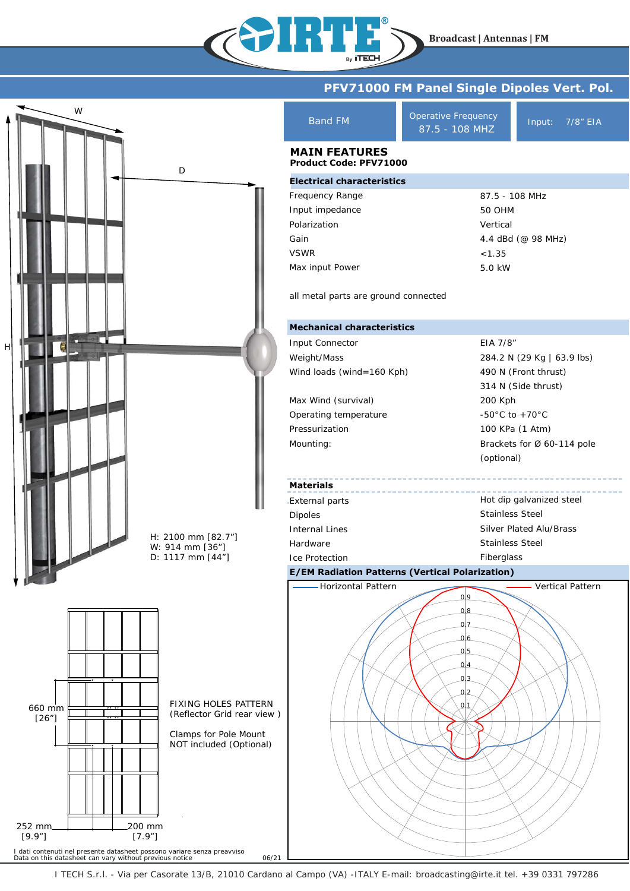**Broadcast | Antennas | FM**



134 U P

I TECH S.r.l. - Via per Casorate 13/B, 21010 Cardano al Campo (VA) -ITALY E-mail: broadcasting@irte.it tel. +39 0331 797286